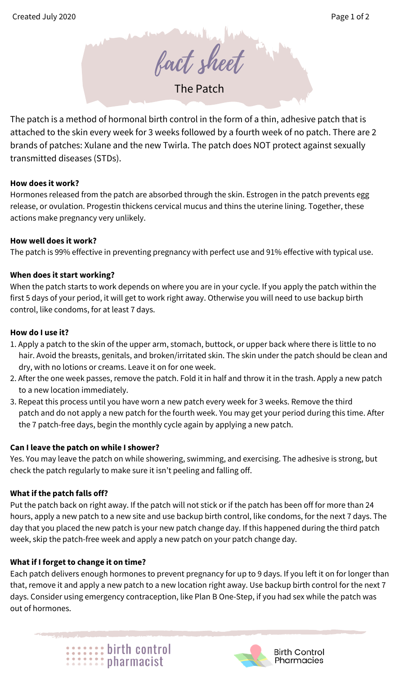fact sheet

The Patch

The patch is a method of hormonal birth control in the form of a thin, adhesive patch that is attached to the skin every week for 3 weeks followed by a fourth week of no patch. There are 2 brands of patches: Xulane and the new Twirla. The patch does NOT protect against sexually transmitted diseases (STDs).

#### **How does it work?**

Hormones released from the patch are absorbed through the skin. Estrogen in the patch prevents egg release, or ovulation. Progestin thickens cervical mucus and thins the uterine lining. Together, these actions make pregnancy very unlikely.

#### **How well does it work?**

The patch is 99% effective in preventing pregnancy with perfect use and 91% effective with typical use.

# **When does it start working?**

When the patch starts to work depends on where you are in your cycle. If you apply the patch within the first 5 days of your period, it will get to work right away. Otherwise you will need to use backup birth control, like condoms, for at least 7 days.

#### **How do I use it?**

- 1. Apply a patch to the skin of the upper arm, stomach, buttock, or upper back where there is little to no hair. Avoid the breasts, genitals, and broken/irritated skin. The skin under the patch should be clean and dry, with no lotions or creams. Leave it on for one week.
- 2. After the one week passes, remove the patch. Fold it in half and throw it in the trash. Apply a new patch to a new location immediately.
- 3. Repeat this process until you have worn a new patch every week for 3 weeks. Remove the third patch and do not apply a new patch for the fourth week. You may get your period during this time. After the 7 patch-free days, begin the monthly cycle again by applying a new patch.

# **Can I leave the patch on while I shower?**

Yes. You may leave the patch on while showering, swimming, and exercising. The adhesive is strong, but check the patch regularly to make sure it isn't peeling and falling off.

# **What if the patch falls off?**

Put the patch back on right away. If the patch will not stick or if the patch has been off for more than 24 hours, apply a new patch to a new site and use backup birth control, like condoms, for the next 7 days. The day that you placed the new patch is your new patch change day. If this happened during the third patch week, skip the patch-free week and apply a new patch on your patch change day.

# **What if I forget to change it on time?**

Each patch delivers enough hormones to prevent pregnancy for up to 9 days. If you left it on for longer than that, remove it and apply a new patch to a new location right away. Use backup birth control for the next 7 days. Consider using emergency contraception, like Plan B One-Step, if you had sex while the patch was out of hormones.

**:::::::** birth control<br>:::::::: pharmacist